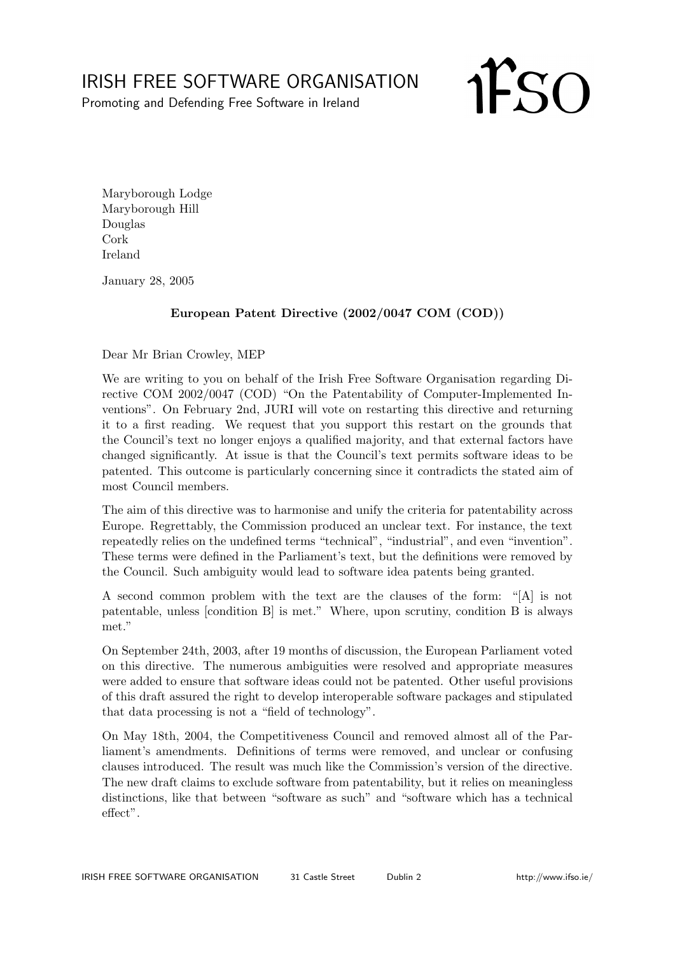## IRISH FREE SOFTWARE ORGANISATION

Promoting and Defending Free Software in Ireland

**IFSO** 

Maryborough Lodge Maryborough Hill Douglas Cork Ireland

January 28, 2005

## European Patent Directive (2002/0047 COM (COD))

Dear Mr Brian Crowley, MEP

We are writing to you on behalf of the Irish Free Software Organisation regarding Directive COM 2002/0047 (COD) "On the Patentability of Computer-Implemented Inventions". On February 2nd, JURI will vote on restarting this directive and returning it to a first reading. We request that you support this restart on the grounds that the Council's text no longer enjoys a qualified majority, and that external factors have changed significantly. At issue is that the Council's text permits software ideas to be patented. This outcome is particularly concerning since it contradicts the stated aim of most Council members.

The aim of this directive was to harmonise and unify the criteria for patentability across Europe. Regrettably, the Commission produced an unclear text. For instance, the text repeatedly relies on the undefined terms "technical", "industrial", and even "invention". These terms were defined in the Parliament's text, but the definitions were removed by the Council. Such ambiguity would lead to software idea patents being granted.

A second common problem with the text are the clauses of the form: "[A] is not patentable, unless [condition B] is met." Where, upon scrutiny, condition B is always met."

On September 24th, 2003, after 19 months of discussion, the European Parliament voted on this directive. The numerous ambiguities were resolved and appropriate measures were added to ensure that software ideas could not be patented. Other useful provisions of this draft assured the right to develop interoperable software packages and stipulated that data processing is not a "field of technology".

On May 18th, 2004, the Competitiveness Council and removed almost all of the Parliament's amendments. Definitions of terms were removed, and unclear or confusing clauses introduced. The result was much like the Commission's version of the directive. The new draft claims to exclude software from patentability, but it relies on meaningless distinctions, like that between "software as such" and "software which has a technical effect".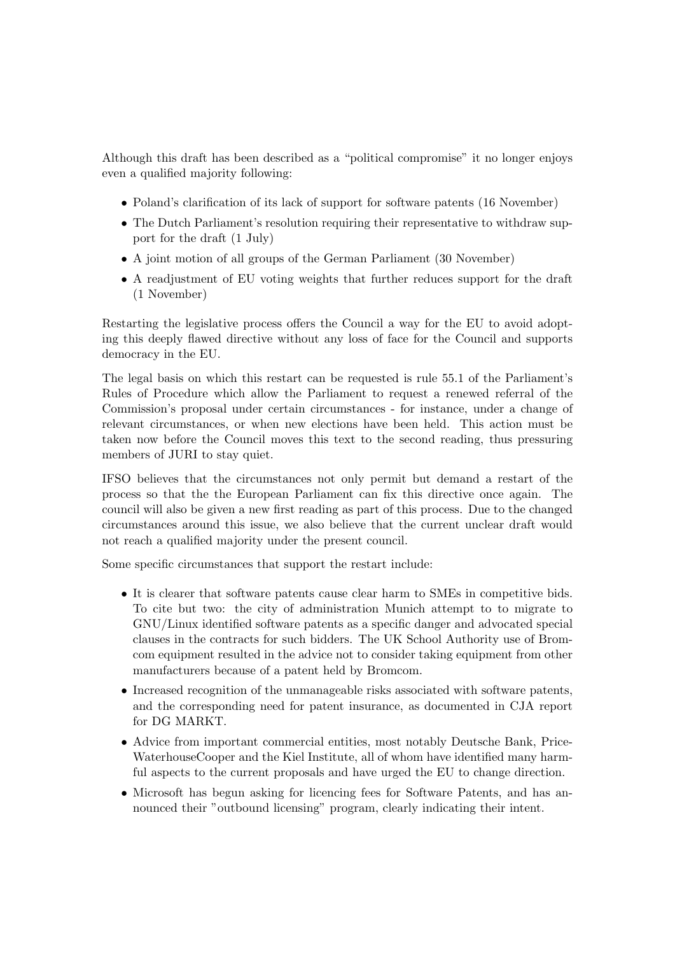Although this draft has been described as a "political compromise" it no longer enjoys even a qualified majority following:

- Poland's clarification of its lack of support for software patents (16 November)
- The Dutch Parliament's resolution requiring their representative to withdraw support for the draft (1 July)
- A joint motion of all groups of the German Parliament (30 November)
- A readjustment of EU voting weights that further reduces support for the draft (1 November)

Restarting the legislative process offers the Council a way for the EU to avoid adopting this deeply flawed directive without any loss of face for the Council and supports democracy in the EU.

The legal basis on which this restart can be requested is rule 55.1 of the Parliament's Rules of Procedure which allow the Parliament to request a renewed referral of the Commission's proposal under certain circumstances - for instance, under a change of relevant circumstances, or when new elections have been held. This action must be taken now before the Council moves this text to the second reading, thus pressuring members of JURI to stay quiet.

IFSO believes that the circumstances not only permit but demand a restart of the process so that the the European Parliament can fix this directive once again. The council will also be given a new first reading as part of this process. Due to the changed circumstances around this issue, we also believe that the current unclear draft would not reach a qualified majority under the present council.

Some specific circumstances that support the restart include:

- It is clearer that software patents cause clear harm to SMEs in competitive bids. To cite but two: the city of administration Munich attempt to to migrate to GNU/Linux identified software patents as a specific danger and advocated special clauses in the contracts for such bidders. The UK School Authority use of Bromcom equipment resulted in the advice not to consider taking equipment from other manufacturers because of a patent held by Bromcom.
- Increased recognition of the unmanageable risks associated with software patents, and the corresponding need for patent insurance, as documented in CJA report for DG MARKT.
- Advice from important commercial entities, most notably Deutsche Bank, Price-WaterhouseCooper and the Kiel Institute, all of whom have identified many harmful aspects to the current proposals and have urged the EU to change direction.
- Microsoft has begun asking for licencing fees for Software Patents, and has announced their "outbound licensing" program, clearly indicating their intent.